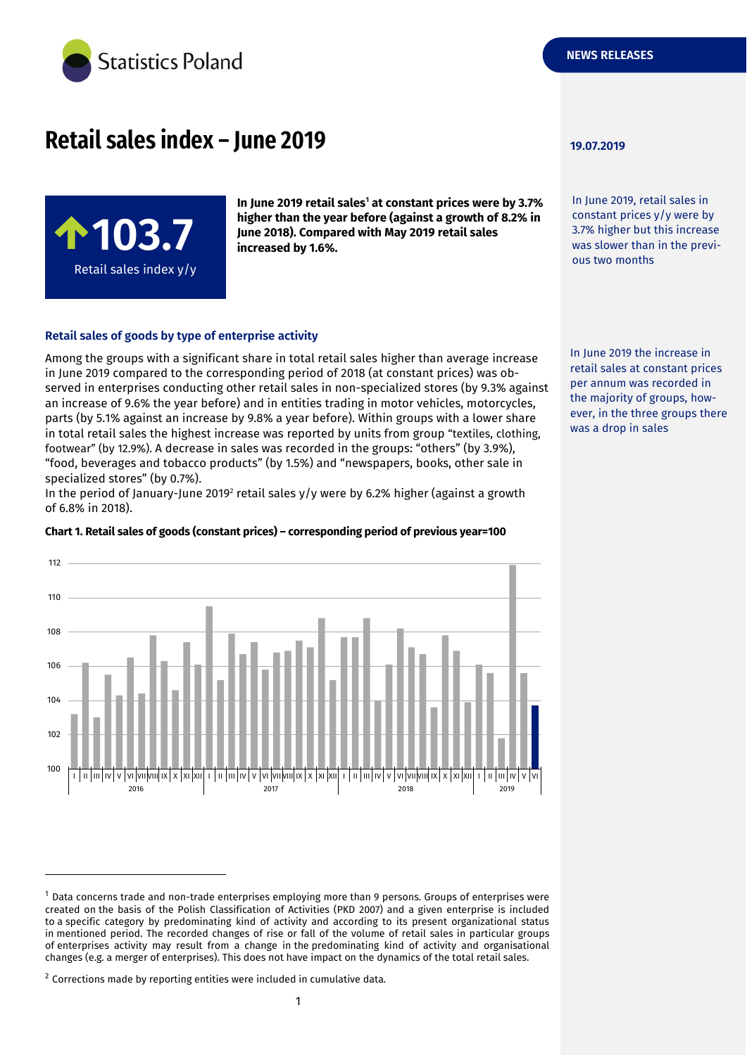

# **Retail sales index – June 2019 19.07.2019**



**In June 2019 retail sales<sup>1</sup> at constant prices were by 3.7% higher than the year before (against a growth of 8.2% in June 2018). Compared with May 2019 retail sales increased by 1.6%.**

### **Retail sales of goods by type of enterprise activity**

Among the groups with a significant share in total retail sales higher than average increase in June 2019 compared to the corresponding period of 2018 (at constant prices) was observed in enterprises conducting other retail sales in non-specialized stores (by 9.3% against an increase of 9.6% the year before) and in entities trading in motor vehicles, motorcycles, parts (by 5.1% against an increase by 9.8% a year before). Within groups with a lower share in total retail sales the highest increase was reported by units from group "textiles, clothing, footwear" (by 12.9%). A decrease in sales was recorded in the groups: "others" (by 3.9%), "food, beverages and tobacco products" (by 1.5%) and "newspapers, books, other sale in specialized stores" (by 0.7%).

In the period of January-June 2019<sup>2</sup> retail sales y/y were by 6.2% higher (against a growth of 6.8% in 2018).

#### **Chart 1. Retail sales of goods (constant prices) – corresponding period of previous year=100**



-

In June 2019, retail sales in constant prices y/y were by 3.7% higher but this increase was slower than in the previous two months

In June 2019 the increase in retail sales at constant prices per annum was recorded in the majority of groups, however, in the three groups there was a drop in sales

<sup>1</sup> Data concerns trade and non-trade enterprises employing more than 9 persons. Groups of enterprises were created on the basis of the Polish Classification of Activities (PKD 2007) and a given enterprise is included to a specific category by predominating kind of activity and according to its present organizational status in mentioned period. The recorded changes of rise or fall of the volume of retail sales in particular groups of enterprises activity may result from a change in the predominating kind of activity and organisational changes (e.g. a merger of enterprises). This does not have impact on the dynamics of the total retail sales.

 $2$  Corrections made by reporting entities were included in cumulative data.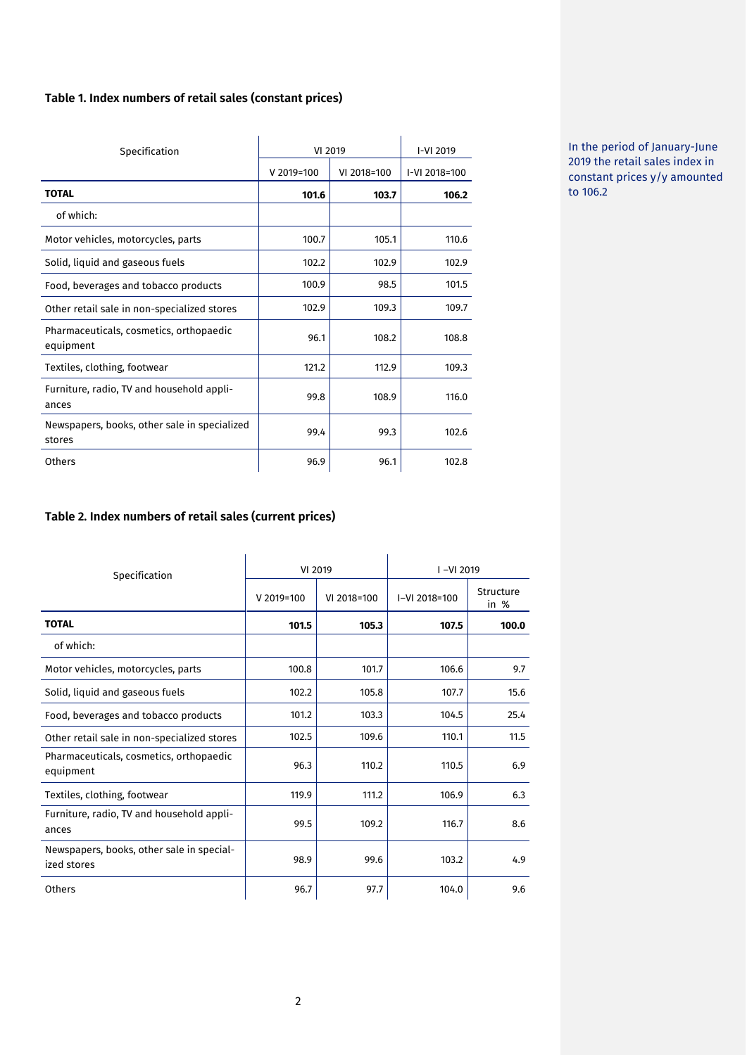# **Table 1. Index numbers of retail sales (constant prices)**

|                                                        | VI 2019    | I-VI 2019   |               |
|--------------------------------------------------------|------------|-------------|---------------|
| Specification                                          |            |             |               |
|                                                        | V 2019=100 | VI 2018=100 | I-VI 2018=100 |
| <b>TOTAL</b>                                           | 101.6      | 103.7       | 106.2         |
| of which:                                              |            |             |               |
| Motor vehicles, motorcycles, parts                     | 100.7      | 105.1       | 110.6         |
| Solid, liquid and gaseous fuels                        | 102.2      | 102.9       | 102.9         |
| Food, beverages and tobacco products                   | 100.9      | 98.5        | 101.5         |
| Other retail sale in non-specialized stores            | 102.9      | 109.3       | 109.7         |
| Pharmaceuticals, cosmetics, orthopaedic<br>equipment   | 96.1       | 108.2       | 108.8         |
| Textiles, clothing, footwear                           | 121.2      | 112.9       | 109.3         |
| Furniture, radio, TV and household appli-<br>ances     | 99.8       | 108.9       | 116.0         |
| Newspapers, books, other sale in specialized<br>stores | 99.4       | 99.3        | 102.6         |
| Others                                                 | 96.9       | 96.1        | 102.8         |

In the period of January-June 2019 the retail sales index in constant prices y/y amounted to 106.2

# **Table 2. Index numbers of retail sales (current prices)**

| Specification                                            | VI 2019    |             | $I - VI 2019$ |                   |
|----------------------------------------------------------|------------|-------------|---------------|-------------------|
|                                                          | V 2019=100 | VI 2018=100 | I-VI 2018=100 | Structure<br>in % |
| <b>TOTAL</b>                                             | 101.5      | 105.3       | 107.5         | 100.0             |
| of which:                                                |            |             |               |                   |
| Motor vehicles, motorcycles, parts                       | 100.8      | 101.7       | 106.6         | 9.7               |
| Solid, liquid and gaseous fuels                          | 102.2      | 105.8       | 107.7         | 15.6              |
| Food, beverages and tobacco products                     | 101.2      | 103.3       | 104.5         | 25.4              |
| Other retail sale in non-specialized stores              | 102.5      | 109.6       | 110.1         | 11.5              |
| Pharmaceuticals, cosmetics, orthopaedic<br>equipment     | 96.3       | 110.2       | 110.5         | 6.9               |
| Textiles, clothing, footwear                             | 119.9      | 111.2       | 106.9         | 6.3               |
| Furniture, radio, TV and household appli-<br>ances       | 99.5       | 109.2       | 116.7         | 8.6               |
| Newspapers, books, other sale in special-<br>ized stores | 98.9       | 99.6        | 103.2         | 4.9               |
| Others                                                   | 96.7       | 97.7        | 104.0         | 9.6               |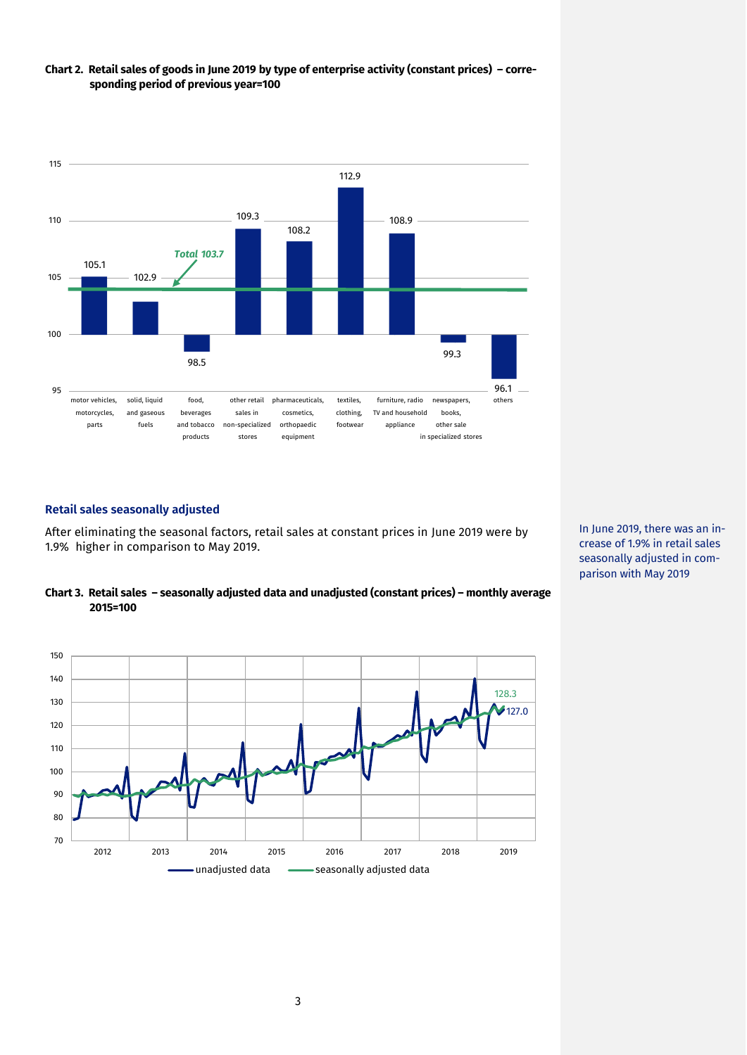

# **Chart 2. Retail sales of goods in June 2019 by type of enterprise activity (constant prices) – corresponding period of previous year=100**

## **Retail sales seasonally adjusted**

After eliminating the seasonal factors, retail sales at constant prices in June 2019 were by 1.9% higher in comparison to May 2019.





In June 2019, there was an increase of 1.9% in retail sales seasonally adjusted in comparison with May 2019